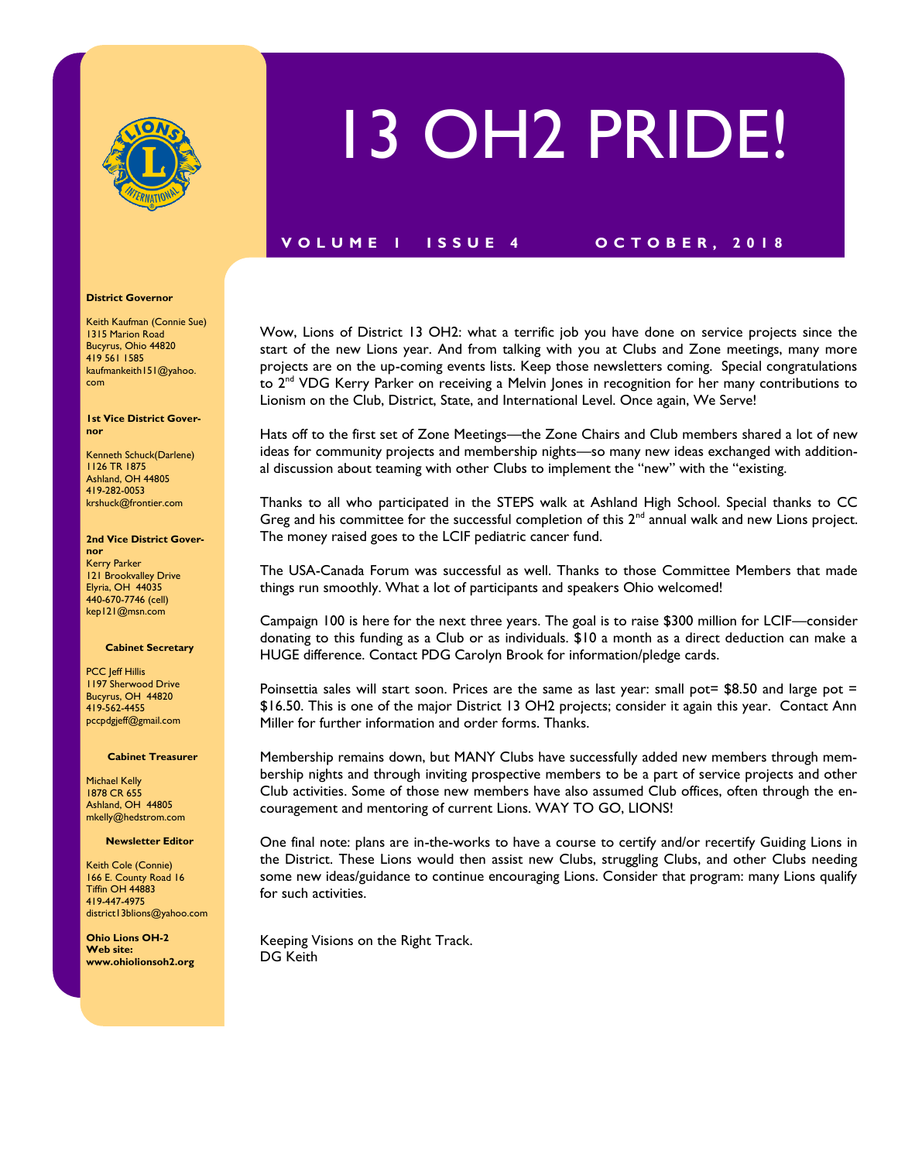

# 13 OH2 PRIDE!

### **V O L U M E 1 I S S U E 4 O C T O B E R , 2 0 1 8**

Wow, Lions of District 13 OH2: what a terrific job you have done on service projects since the start of the new Lions year. And from talking with you at Clubs and Zone meetings, many more projects are on the up-coming events lists. Keep those newsletters coming. Special congratulations to 2<sup>nd</sup> VDG Kerry Parker on receiving a Melvin Jones in recognition for her many contributions to Lionism on the Club, District, State, and International Level. Once again, We Serve!

Hats off to the first set of Zone Meetings—the Zone Chairs and Club members shared a lot of new ideas for community projects and membership nights—so many new ideas exchanged with additional discussion about teaming with other Clubs to implement the "new" with the "existing.

Thanks to all who participated in the STEPS walk at Ashland High School. Special thanks to CC Greg and his committee for the successful completion of this  $2<sup>nd</sup>$  annual walk and new Lions project. The money raised goes to the LCIF pediatric cancer fund.

The USA-Canada Forum was successful as well. Thanks to those Committee Members that made things run smoothly. What a lot of participants and speakers Ohio welcomed!

Campaign 100 is here for the next three years. The goal is to raise \$300 million for LCIF—consider donating to this funding as a Club or as individuals. \$10 a month as a direct deduction can make a HUGE difference. Contact PDG Carolyn Brook for information/pledge cards.

Poinsettia sales will start soon. Prices are the same as last year: small pot=  $$8.50$  and large pot = \$16.50. This is one of the major District 13 OH2 projects; consider it again this year. Contact Ann Miller for further information and order forms. Thanks.

Membership remains down, but MANY Clubs have successfully added new members through membership nights and through inviting prospective members to be a part of service projects and other Club activities. Some of those new members have also assumed Club offices, often through the encouragement and mentoring of current Lions. WAY TO GO, LIONS!

One final note: plans are in-the-works to have a course to certify and/or recertify Guiding Lions in the District. These Lions would then assist new Clubs, struggling Clubs, and other Clubs needing some new ideas/guidance to continue encouraging Lions. Consider that program: many Lions qualify for such activities.

Keeping Visions on the Right Track. DG Keith

#### **District Governor**

Keith Kaufman (Connie Sue) 1315 Marion Road Bucyrus, Ohio 44820 419 561 1585 kaufmankeith151@yahoo. com

**1st Vice District Governor**

Kenneth Schuck(Darlene) 1126 TR 1875 Ashland, OH 44805 419-282-0053 krshuck@frontier.com

#### **2nd Vice District Gover-**

**nor** Kerry Parker 121 Brookvalley Drive Elyria, OH 44035 440-670-7746 (cell) kep121@msn.com

#### **Cabinet Secretary**

PCC Jeff Hillis 1197 Sherwood Drive Bucyrus, OH 44820 419-562-4455 pccpdgjeff@gmail.com

#### **Cabinet Treasurer**

Michael Kelly 1878 CR 655 Ashland, OH 44805 mkelly@hedstrom.com

#### **Newsletter Editor**

Keith Cole (Connie) 166 E. County Road 16 Tiffin OH 44883 419-447-4975 district13blions@yahoo.com

**Ohio Lions OH-2 Web site: www.ohiolionsoh2.org**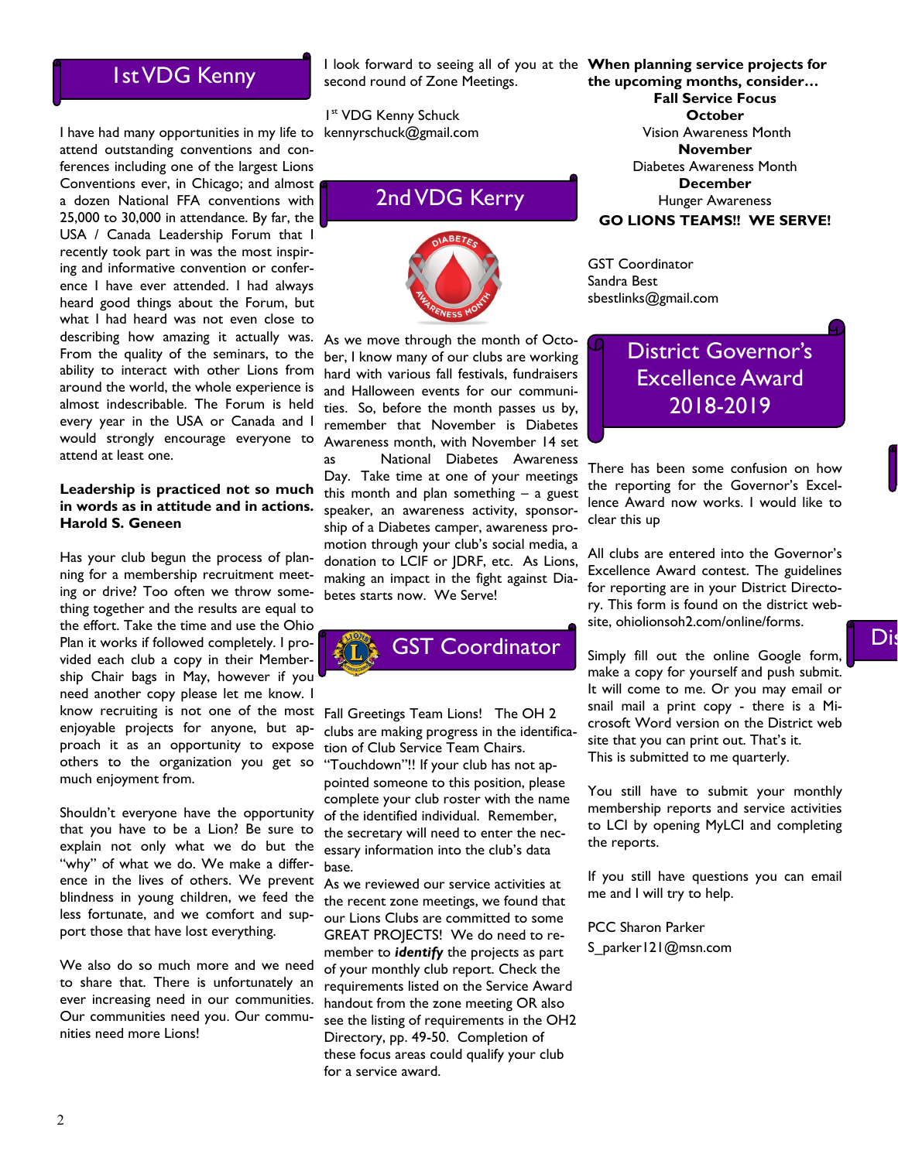### 1st VDG Kenny

I have had many opportunities in my life to attend outstanding conventions and conferences including one of the largest Lions Conventions ever, in Chicago; and almost a dozen National FFA conventions with 25,000 to 30,000 in attendance. By far, the USA / Canada Leadership Forum that I recently took part in was the most inspiring and informative convention or conference I have ever attended. I had always heard good things about the Forum, but what I had heard was not even close to describing how amazing it actually was. From the quality of the seminars, to the ability to interact with other Lions from around the world, the whole experience is almost indescribable. The Forum is held every year in the USA or Canada and I would strongly encourage everyone to attend at least one.

### **Leadership is practiced not so much in words as in attitude and in actions. Harold S. Geneen**

Has your club begun the process of planning for a membership recruitment meeting or drive? Too often we throw something together and the results are equal to the effort. Take the time and use the Ohio Plan it works if followed completely. I provided each club a copy in their Membership Chair bags in May, however if you need another copy please let me know. I know recruiting is not one of the most enjoyable projects for anyone, but approach it as an opportunity to expose others to the organization you get so "Touchdown"!! If your club has not apmuch enjoyment from.

Shouldn't everyone have the opportunity that you have to be a Lion? Be sure to explain not only what we do but the "why" of what we do. We make a difference in the lives of others. We prevent blindness in young children, we feed the less fortunate, and we comfort and support those that have lost everything.

We also do so much more and we need to share that. There is unfortunately an ever increasing need in our communities. Our communities need you. Our communities need more Lions!

I look forward to seeing all of you at the **When planning service projects for**  second round of Zone Meetings.

1 st VDG Kenny Schuck kennyrschuck@gmail.com

## 2nd VDG Kerry



As we move through the month of October, I know many of our clubs are working hard with various fall festivals, fundraisers and Halloween events for our communities. So, before the month passes us by, remember that November is Diabetes Awareness month, with November 14 set as National Diabetes Awareness

Day. Take time at one of your meetings this month and plan something – a guest speaker, an awareness activity, sponsorship of a Diabetes camper, awareness promotion through your club's social media, a donation to LCIF or JDRF, etc. As Lions, making an impact in the fight against Diabetes starts now. We Serve!



Fall Greetings Team Lions! The OH 2 clubs are making progress in the identification of Club Service Team Chairs. pointed someone to this position, please complete your club roster with the name of the identified individual. Remember, the secretary will need to enter the necessary information into the club's data base.

As we reviewed our service activities at the recent zone meetings, we found that our Lions Clubs are committed to some GREAT PROJECTS! We do need to remember to *identify* the projects as part of your monthly club report. Check the requirements listed on the Service Award handout from the zone meeting OR also see the listing of requirements in the OH2 Directory, pp. 49-50. Completion of these focus areas could qualify your club for a service award.

**the upcoming months, consider… Fall Service Focus October**  Vision Awareness Month **November** Diabetes Awareness Month **December** Hunger Awareness **GO LIONS TEAMS!! WE SERVE!**

GST Coordinator Sandra Best sbestlinks@gmail.com

### District Governor's Excellence Award 2018-2019

There has been some confusion on how the reporting for the Governor's Excellence Award now works. I would like to clear this up

All clubs are entered into the Governor's Excellence Award contest. The guidelines for reporting are in your District Directory. This form is found on the district website, ohiolionsoh2.com/online/forms.

Simply fill out the online Google form, make a copy for yourself and push submit. It will come to me. Or you may email or snail mail a print copy - there is a Microsoft Word version on the District web site that you can print out. That's it. This is submitted to me quarterly.

You still have to submit your monthly membership reports and service activities to LCI by opening MyLCI and completing the reports.

If you still have questions you can email me and I will try to help.

PCC Sharon Parker S\_parker121@msn.com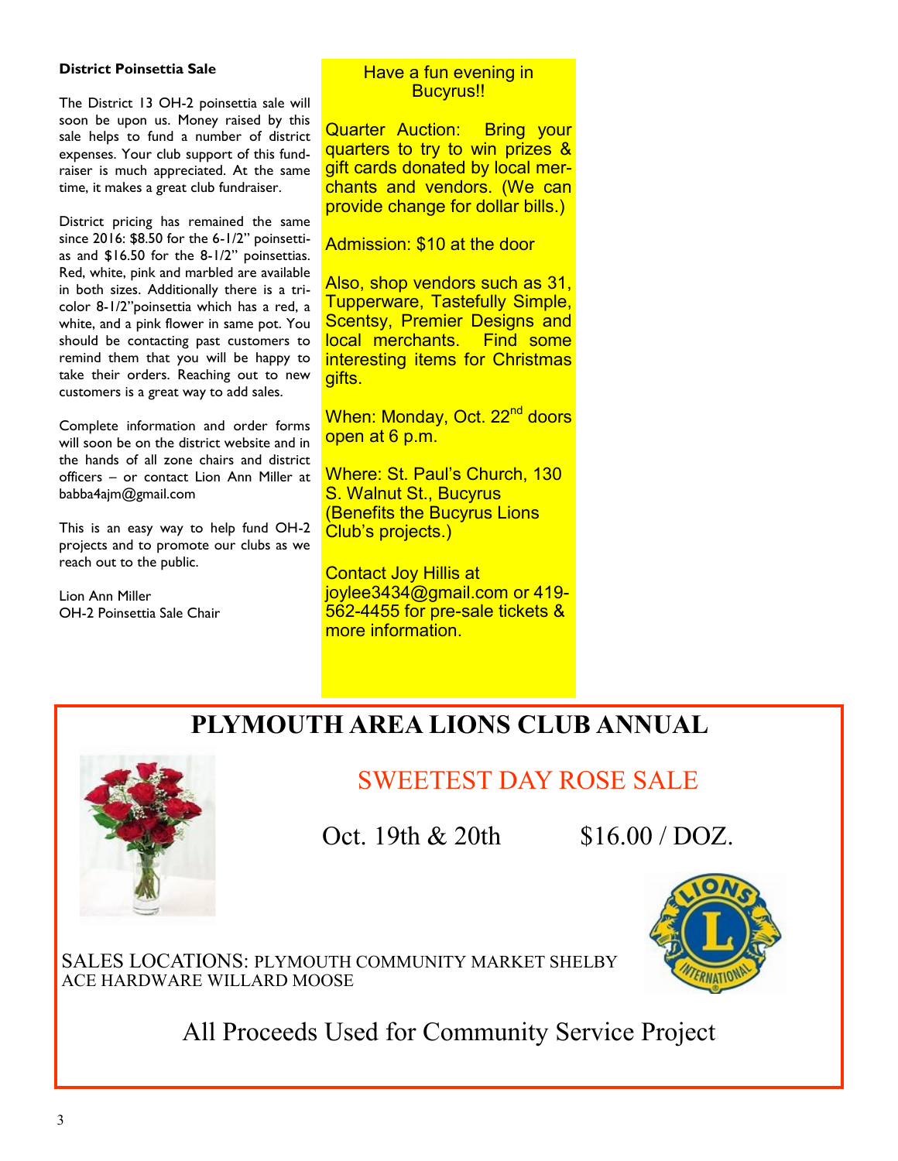### **District Poinsettia Sale**

The District 13 OH-2 poinsettia sale will soon be upon us. Money raised by this sale helps to fund a number of district expenses. Your club support of this fundraiser is much appreciated. At the same time, it makes a great club fundraiser.

District pricing has remained the same since 2016: \$8.50 for the 6-1/2" poinsettias and \$16.50 for the 8-1/2" poinsettias. Red, white, pink and marbled are available in both sizes. Additionally there is a tricolor 8-1/2"poinsettia which has a red, a white, and a pink flower in same pot. You should be contacting past customers to remind them that you will be happy to take their orders. Reaching out to new customers is a great way to add sales.

Complete information and order forms will soon be on the district website and in the hands of all zone chairs and district officers – or contact Lion Ann Miller at babba4ajm@gmail.com

This is an easy way to help fund OH-2 projects and to promote our clubs as we reach out to the public.

Lion Ann Miller OH-2 Poinsettia Sale Chair

### Have a fun evening in Bucyrus!!

Quarter Auction: Bring your quarters to try to win prizes & gift cards donated by local merchants and vendors. (We can provide change for dollar bills.)

Admission: \$10 at the door

Also, shop vendors such as 31, Tupperware, Tastefully Simple, Scentsy, Premier Designs and local merchants. Find some interesting items for Christmas gifts.

When: Monday, Oct. 22<sup>nd</sup> doors open at 6 p.m.

Where: St. Paul's Church, 130 S. Walnut St., Bucyrus (Benefits the Bucyrus Lions Club's projects.)

Contact Joy Hillis at joylee3434@gmail.com or 419- 562-4455 for pre-sale tickets & more information.

## **PLYMOUTH AREA LIONS CLUB ANNUAL**



## SWEETEST DAY ROSE SALE

Oct. 19th  $& 20th$  \$16.00 / DOZ.

SALES LOCATIONS: PLYMOUTH COMMUNITY MARKET SHELBY ACE HARDWARE WILLARD MOOSE

All Proceeds Used for Community Service Project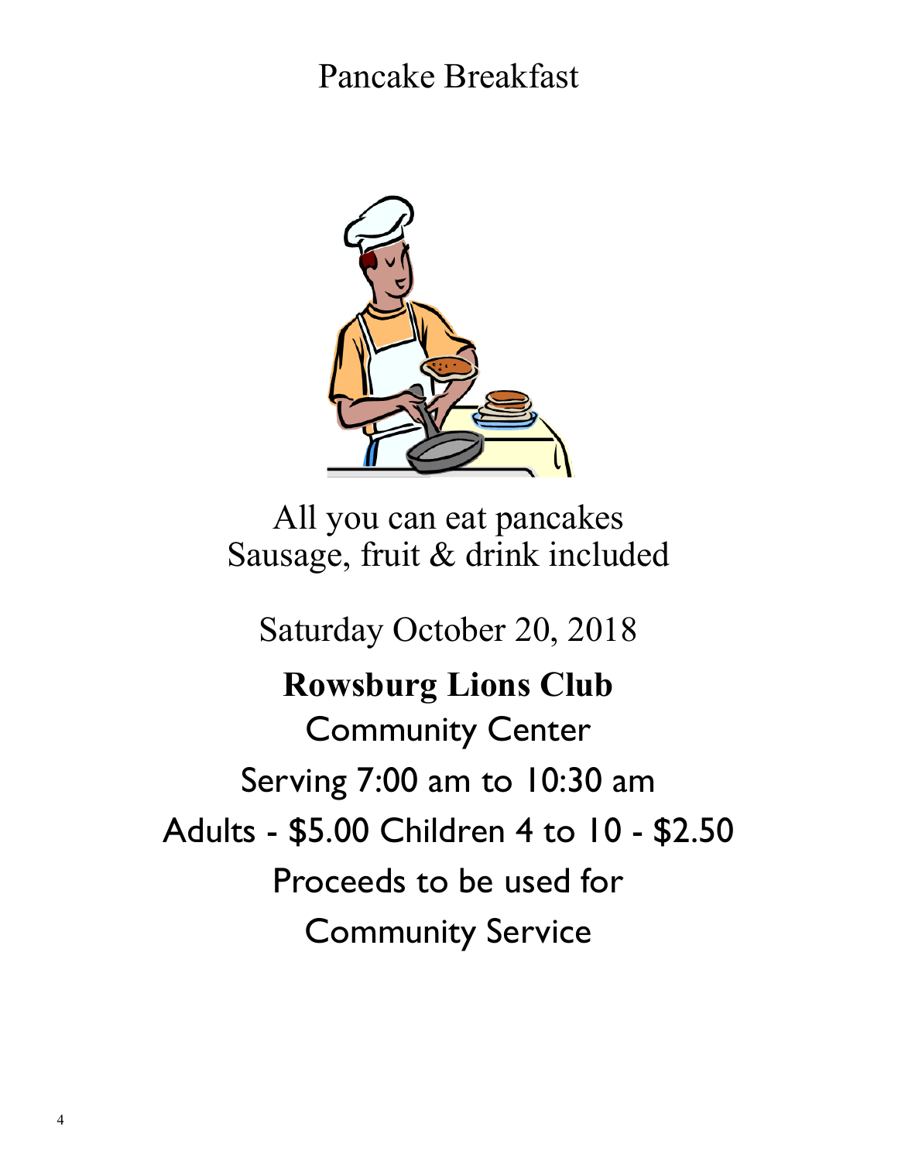Pancake Breakfast



All you can eat pancakes Sausage, fruit & drink included

Saturday October 20, 2018

**Rowsburg Lions Club** Community Center Serving 7:00 am to 10:30 am Adults - \$5.00 Children 4 to 10 - \$2.50 Proceeds to be used for Community Service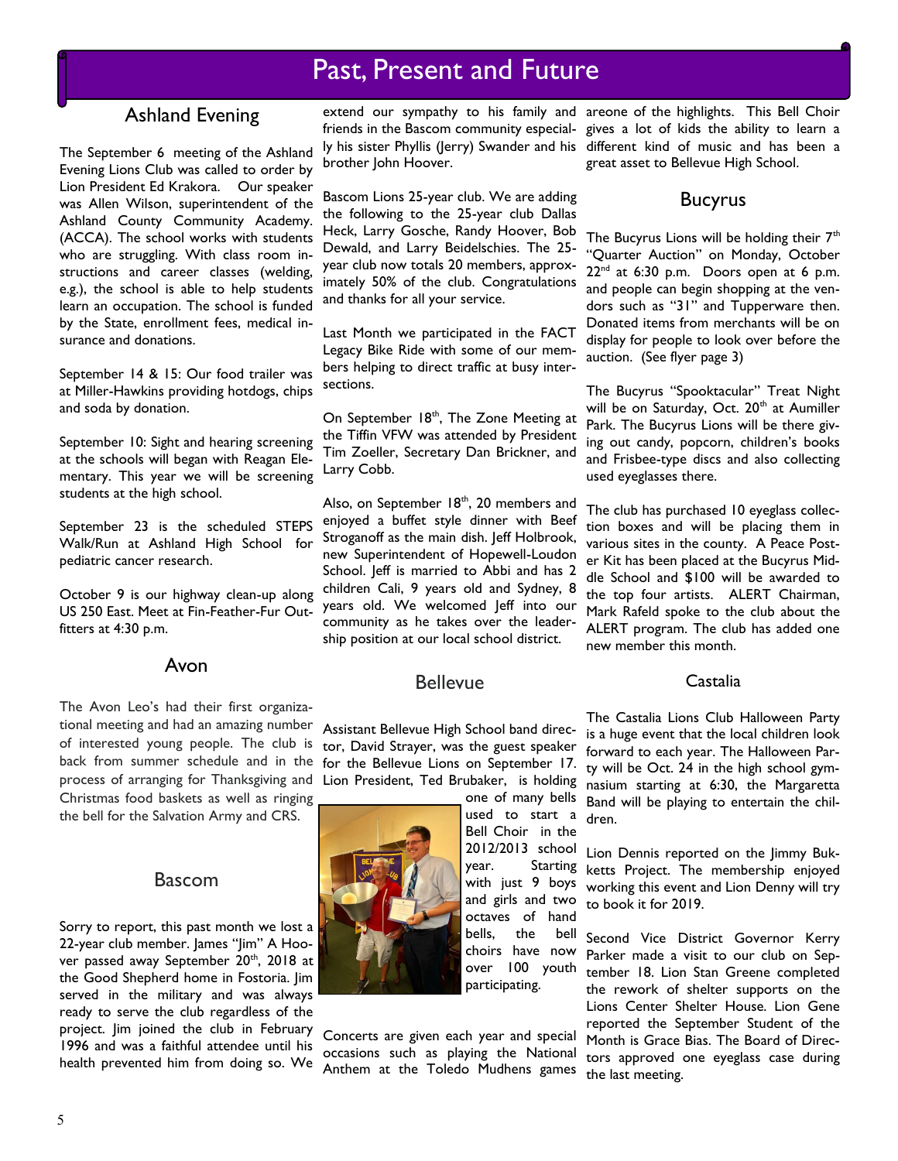### Ashland Evening

The September 6 meeting of the Ashland Evening Lions Club was called to order by Lion President Ed Krakora. Our speaker was Allen Wilson, superintendent of the Ashland County Community Academy. (ACCA). The school works with students who are struggling. With class room instructions and career classes (welding, e.g.), the school is able to help students learn an occupation. The school is funded by the State, enrollment fees, medical insurance and donations.

September 14 & 15: Our food trailer was at Miller-Hawkins providing hotdogs, chips and soda by donation.

September 10: Sight and hearing screening at the schools will began with Reagan Elementary. This year we will be screening students at the high school.

September 23 is the scheduled STEPS Walk/Run at Ashland High School for pediatric cancer research.

October 9 is our highway clean-up along US 250 East. Meet at Fin-Feather-Fur Outfitters at 4:30 p.m.

### Avon

The Avon Leo's had their first organizational meeting and had an amazing number of interested young people. The club is back from summer schedule and in the process of arranging for Thanksgiving and Lion President, Ted Brubaker, is holding Christmas food baskets as well as ringing

the bell for the Salvation Army and CRS.

### Bascom

Sorry to report, this past month we lost a 22-year club member. James "Jim" A Hoover passed away September 20<sup>th</sup>, 2018 at the Good Shepherd home in Fostoria. Jim served in the military and was always ready to serve the club regardless of the project. Jim joined the club in February 1996 and was a faithful attendee until his health prevented him from doing so. We

brother John Hoover.

Bascom Lions 25-year club. We are adding the following to the 25-year club Dallas Heck, Larry Gosche, Randy Hoover, Bob Dewald, and Larry Beidelschies. The 25 year club now totals 20 members, approximately 50% of the club. Congratulations and thanks for all your service.

Last Month we participated in the FACT Legacy Bike Ride with some of our members helping to direct traffic at busy intersections.

On September 18<sup>th</sup>, The Zone Meeting at the Tiffin VFW was attended by President Tim Zoeller, Secretary Dan Brickner, and Larry Cobb.

Also, on September  $18<sup>th</sup>$ , 20 members and enjoyed a buffet style dinner with Beef Stroganoff as the main dish. Jeff Holbrook, new Superintendent of Hopewell-Loudon School. Jeff is married to Abbi and has 2 children Cali, 9 years old and Sydney, 8 years old. We welcomed Jeff into our community as he takes over the leadership position at our local school district.

### Bellevue

Assistant Bellevue High School band director, David Strayer, was the guest speaker for the Bellevue Lions on September 17.

> one of many bells used to start a Bell Choir in the 2012/2013 school year. Starting with just 9 boys and girls and two octaves of hand bells, the bell choirs have now over 100 youth participating.

Concerts are given each year and special occasions such as playing the National Anthem at the Toledo Mudhens games

extend our sympathy to his family and areone of the highlights. This Bell Choir friends in the Bascom community especial-gives a lot of kids the ability to learn a ly his sister Phyllis (Jerry) Swander and his different kind of music and has been a great asset to Bellevue High School.

### Bucyrus

The Bucyrus Lions will be holding their  $7<sup>th</sup>$ "Quarter Auction" on Monday, October 22<sup>nd</sup> at 6:30 p.m. Doors open at 6 p.m. and people can begin shopping at the vendors such as "31" and Tupperware then. Donated items from merchants will be on display for people to look over before the auction. (See flyer page 3)

The Bucyrus "Spooktacular" Treat Night will be on Saturday, Oct. 20<sup>th</sup> at Aumiller Park. The Bucyrus Lions will be there giving out candy, popcorn, children's books and Frisbee-type discs and also collecting used eyeglasses there.

The club has purchased 10 eyeglass collection boxes and will be placing them in various sites in the county. A Peace Poster Kit has been placed at the Bucyrus Middle School and \$100 will be awarded to the top four artists. ALERT Chairman, Mark Rafeld spoke to the club about the ALERT program. The club has added one new member this month.

### Castalia

The Castalia Lions Club Halloween Party is a huge event that the local children look forward to each year. The Halloween Party will be Oct. 24 in the high school gymnasium starting at 6:30, the Margaretta Band will be playing to entertain the children.

Lion Dennis reported on the Jimmy Bukketts Project. The membership enjoyed working this event and Lion Denny will try to book it for 2019.

Second Vice District Governor Kerry Parker made a visit to our club on September 18. Lion Stan Greene completed the rework of shelter supports on the Lions Center Shelter House. Lion Gene reported the September Student of the Month is Grace Bias. The Board of Directors approved one eyeglass case during the last meeting.

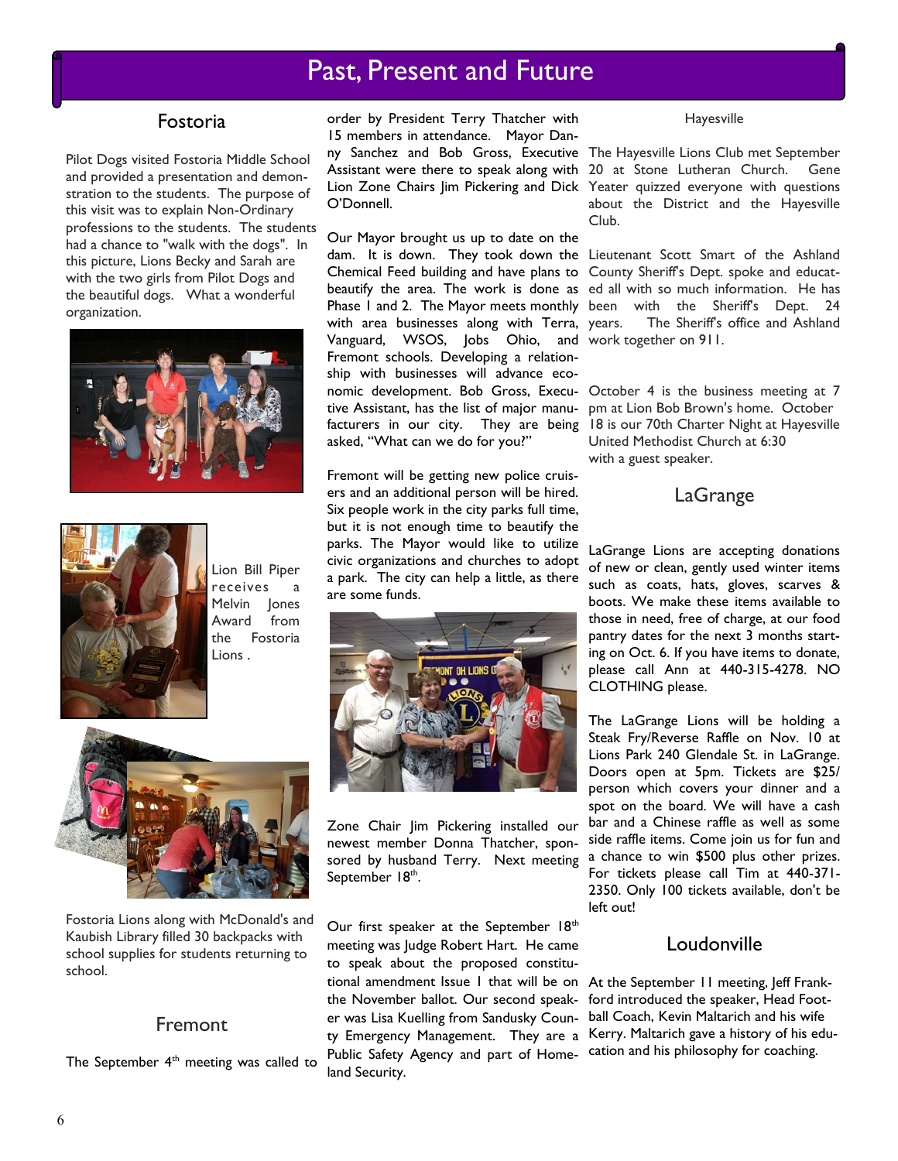### Fostoria

Pilot Dogs visited Fostoria Middle School and provided a presentation and demonstration to the students. The purpose of this visit was to explain Non-Ordinary professions to the students. The students had a chance to "walk with the dogs". In this picture, Lions Becky and Sarah are with the two girls from Pilot Dogs and the beautiful dogs. What a wonderful organization.





Lion Bill Piper receives Melvin Jones Award from the Fostoria Lions .



Fostoria Lions along with McDonald's and Kaubish Library filled 30 backpacks with school supplies for students returning to school.

### Fremont

The September  $4<sup>th</sup>$  meeting was called to

order by President Terry Thatcher with 15 members in attendance. Mayor Danny Sanchez and Bob Gross, Executive The Hayesville Lions Club met September O'Donnell.

Our Mayor brought us up to date on the dam. It is down. They took down the Lieutenant Scott Smart of the Ashland Chemical Feed building and have plans to County Sheriff's Dept. spoke and educatbeautify the area. The work is done as ed all with so much information. He has Phase I and 2. The Mayor meets monthly been with the Sheriff's Dept. 24 with area businesses along with Terra, years. Vanguard, WSOS, Jobs Ohio, and work together on 911. Fremont schools. Developing a relationship with businesses will advance economic development. Bob Gross, Execu-October 4 is the business meeting at 7 tive Assistant, has the list of major manu-pm at Lion Bob Brown's home. October facturers in our city. They are being 18 is our 70th Charter Night at Hayesville asked, "What can we do for you?"

Fremont will be getting new police cruisers and an additional person will be hired. Six people work in the city parks full time, but it is not enough time to beautify the parks. The Mayor would like to utilize civic organizations and churches to adopt a park. The city can help a little, as there are some funds.



Zone Chair Jim Pickering installed our newest member Donna Thatcher, sponsored by husband Terry. Next meeting September 18<sup>th</sup>.

Our first speaker at the September 18<sup>th</sup> meeting was Judge Robert Hart. He came to speak about the proposed constitutional amendment Issue 1 that will be on At the September 11 meeting, Jeff Frankthe November ballot. Our second speaker was Lisa Kuelling from Sandusky County Emergency Management. They are a Public Safety Agency and part of Homeland Security.

#### Hayesville

Assistant were there to speak along with 20 at Stone Lutheran Church. Gene Lion Zone Chairs Jim Pickering and Dick Yeater quizzed everyone with questions about the District and the Hayesville Club.

The Sheriff's office and Ashland

United Methodist Church at 6:30 with a guest speaker.

### LaGrange

LaGrange Lions are accepting donations of new or clean, gently used winter items such as coats, hats, gloves, scarves & boots. We make these items available to those in need, free of charge, at our food pantry dates for the next 3 months starting on Oct. 6. If you have items to donate, please call Ann at 440-315-4278. NO CLOTHING please.

The LaGrange Lions will be holding a Steak Fry/Reverse Raffle on Nov. 10 at Lions Park 240 Glendale St. in LaGrange. Doors open at 5pm. Tickets are \$25/ person which covers your dinner and a spot on the board. We will have a cash bar and a Chinese raffle as well as some side raffle items. Come join us for fun and a chance to win \$500 plus other prizes. For tickets please call Tim at 440-371- 2350. Only 100 tickets available, don't be left out!

### Loudonville

ford introduced the speaker, Head Football Coach, Kevin Maltarich and his wife Kerry. Maltarich gave a history of his education and his philosophy for coaching.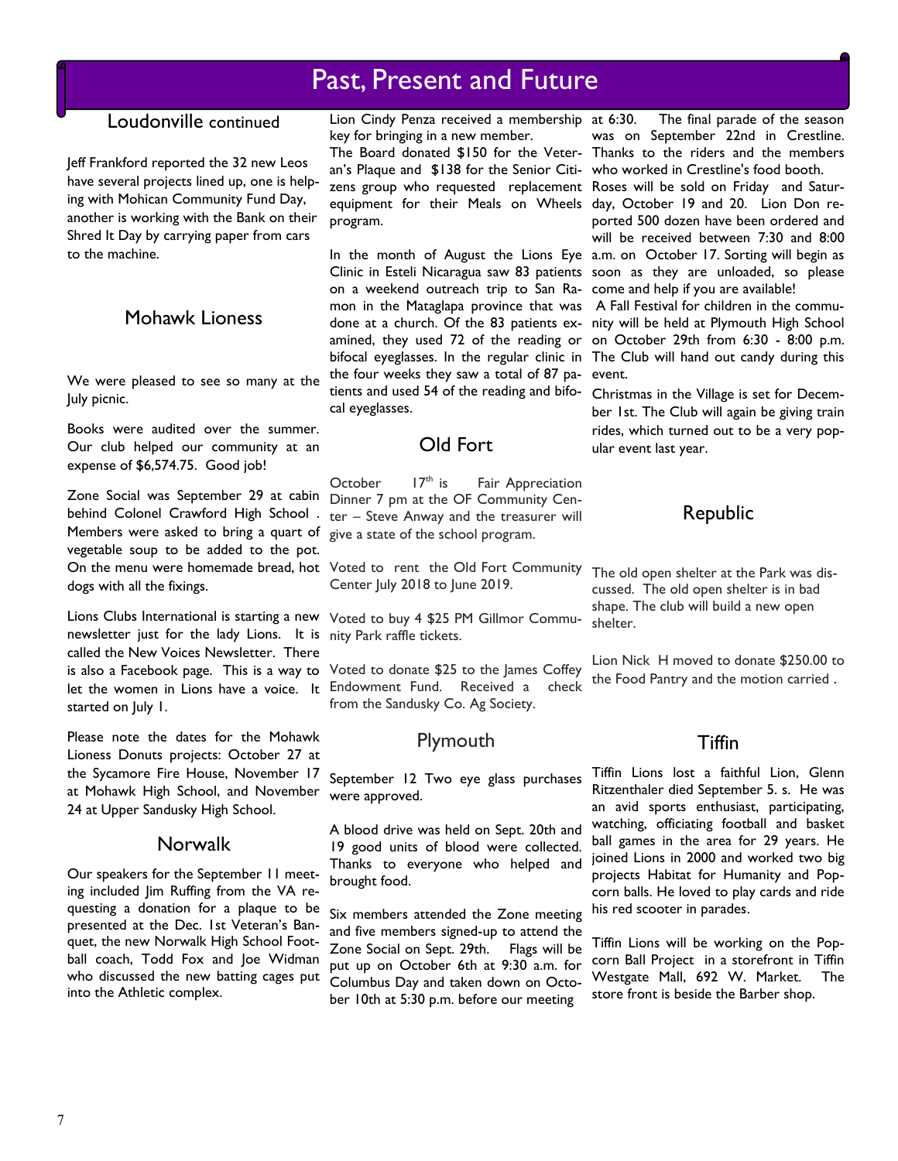### Loudonville continued

Jeff Frankford reported the 32 new Leos have several projects lined up, one is helping with Mohican Community Fund Day, another is working with the Bank on their Shred It Day by carrying paper from cars to the machine.

### Mohawk Lioness

We were pleased to see so many at the July picnic.

Books were audited over the summer. Our club helped our community at an expense of \$6,574.75. Good job!

Zone Social was September 29 at cabin Members were asked to bring a quart of give a state of the school program. vegetable soup to be added to the pot. On the menu were homemade bread, hot Voted to rent the Old Fort Community The old open shelter at the Park was disdogs with all the fixings.

Lions Clubs International is starting a new Voted to buy 4 \$25 PM Gillmor Communewsletter just for the lady Lions. It is nity Park raffle tickets. called the New Voices Newsletter. There started on July 1.

Please note the dates for the Mohawk Lioness Donuts projects: October 27 at the Sycamore Fire House, November 17 at Mohawk High School, and November 24 at Upper Sandusky High School.

### **Norwalk**

Our speakers for the September 11 meeting included Jim Ruffing from the VA requesting a donation for a plaque to be presented at the Dec. 1st Veteran's Banquet, the new Norwalk High School Football coach, Todd Fox and Joe Widman who discussed the new batting cages put into the Athletic complex.

Lion Cindy Penza received a membership at 6:30. key for bringing in a new member.

The Board donated \$150 for the Veter-Thanks to the riders and the members an's Plaque and \$138 for the Senior Citi-who worked in Crestline's food booth. program.

on a weekend outreach trip to San Ra-come and help if you are available! mon in the Mataglapa province that was A Fall Festival for children in the commudone at a church. Of the 83 patients ex-nity will be held at Plymouth High School amined, they used 72 of the reading or on October 29th from 6:30 - 8:00 p.m. bifocal eyeglasses. In the regular clinic in The Club will hand out candy during this the four weeks they saw a total of 87 pa-event. tients and used 54 of the reading and bifo-Christmas in the Village is set for Decemcal eyeglasses.

### Old Fort

behind Colonel Crawford High School . ter - Steve Anway and the treasurer will October  $17<sup>th</sup>$  is Fair Appreciation Dinner 7 pm at the OF Community Cen-

Center July 2018 to June 2019.

is also a Facebook page. This is a way to Voted to donate \$25 to the James Coffey let the women in Lions have a voice. It Endowment Fund. Received a check from the Sandusky Co. Ag Society.

### Plymouth

September 12 Two eye glass purchases were approved.

A blood drive was held on Sept. 20th and 19 good units of blood were collected. Thanks to everyone who helped and brought food.

Six members attended the Zone meeting and five members signed-up to attend the Zone Social on Sept. 29th. Flags will be put up on October 6th at 9:30 a.m. for Columbus Day and taken down on October 10th at 5:30 p.m. before our meeting

The final parade of the season was on September 22nd in Crestline.

zens group who requested replacement Roses will be sold on Friday and Saturequipment for their Meals on Wheels day, October 19 and 20. Lion Don re-In the month of August the Lions Eye a.m. on October 17. Sorting will begin as Clinic in Esteli Nicaragua saw 83 patients soon as they are unloaded, so please ported 500 dozen have been ordered and will be received between 7:30 and 8:00

ber 1st. The Club will again be giving train rides, which turned out to be a very popular event last year.

### Republic

cussed. The old open shelter is in bad shape. The club will build a new open shelter.

Lion Nick H moved to donate \$250.00 to the Food Pantry and the motion carried .

### **Tiffin**

Tiffin Lions lost a faithful Lion, Glenn Ritzenthaler died September 5. s. He was an avid sports enthusiast, participating, watching, officiating football and basket ball games in the area for 29 years. He joined Lions in 2000 and worked two big projects Habitat for Humanity and Popcorn balls. He loved to play cards and ride his red scooter in parades.

Tiffin Lions will be working on the Popcorn Ball Project in a storefront in Tiffin Westgate Mall, 692 W. Market. The store front is beside the Barber shop.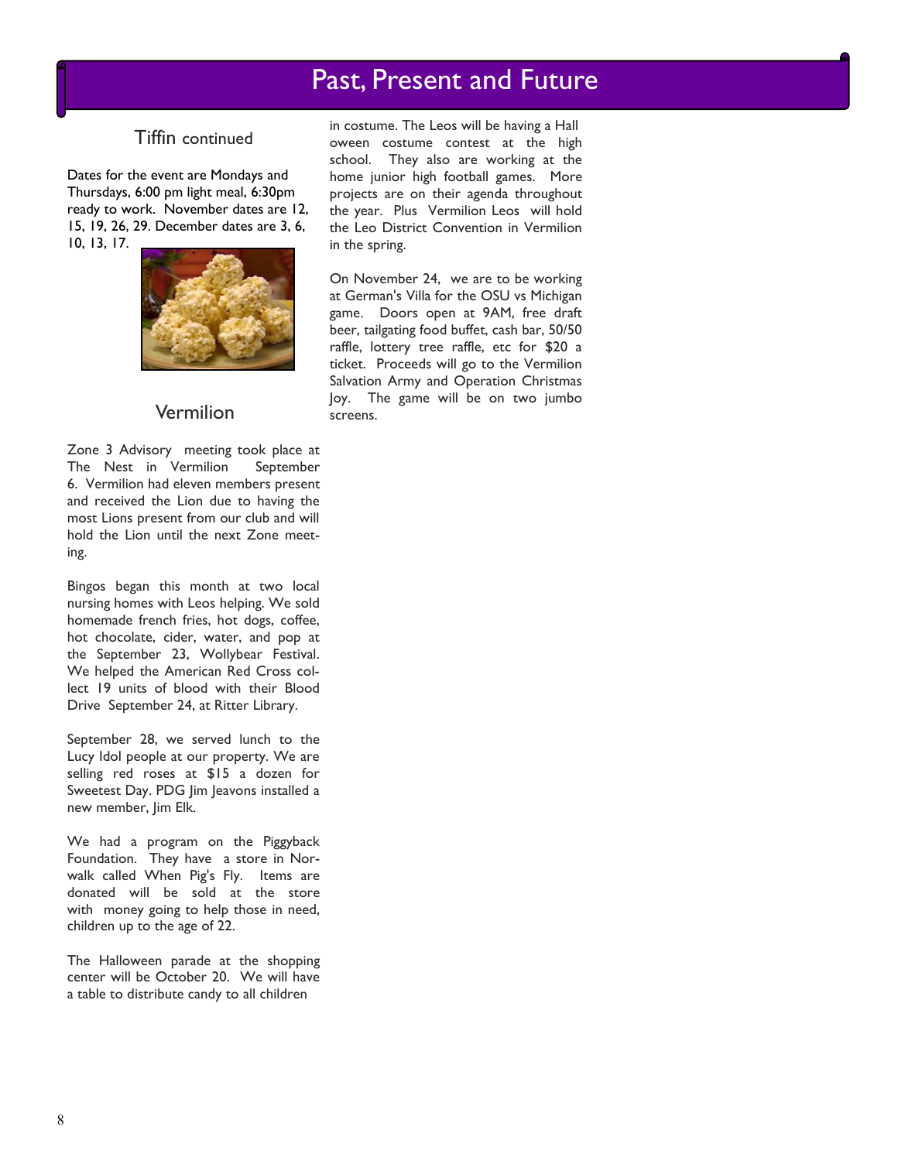### Tiffin continued

Dates for the event are Mondays and Thursdays, 6:00 pm light meal, 6:30pm ready to work. November dates are 12, 15, 19, 26, 29. December dates are 3, 6, 10, 13, 17.



### Vermilion

Zone 3 Advisory meeting took place at The Nest in Vermilion September 6. Vermilion had eleven members present and received the Lion due to having the most Lions present from our club and will hold the Lion until the next Zone meeting.

Bingos began this month at two local nursing homes with Leos helping. We sold homemade french fries, hot dogs, coffee, hot chocolate, cider, water, and pop at the September 23, Wollybear Festival. We helped the American Red Cross collect 19 units of blood with their Blood Drive September 24, at Ritter Library.

September 28, we served lunch to the Lucy Idol people at our property. We are selling red roses at \$15 a dozen for Sweetest Day. PDG Jim Jeavons installed a new member, Jim Elk.

We had a program on the Piggyback Foundation. They have a store in Norwalk called When Pig's Fly. Items are donated will be sold at the store with money going to help those in need, children up to the age of 22.

The Halloween parade at the shopping center will be October 20. We will have a table to distribute candy to all children

in costume. The Leos will be having a Hall oween costume contest at the high school. They also are working at the home junior high football games. More projects are on their agenda throughout the year. Plus Vermilion Leos will hold the Leo District Convention in Vermilion in the spring.

On November 24, we are to be working at German's Villa for the OSU vs Michigan game. Doors open at 9AM, free draft beer, tailgating food buffet, cash bar, 50/50 raffle, lottery tree raffle, etc for \$20 a ticket. Proceeds will go to the Vermilion Salvation Army and Operation Christmas Joy. The game will be on two jumbo screens.